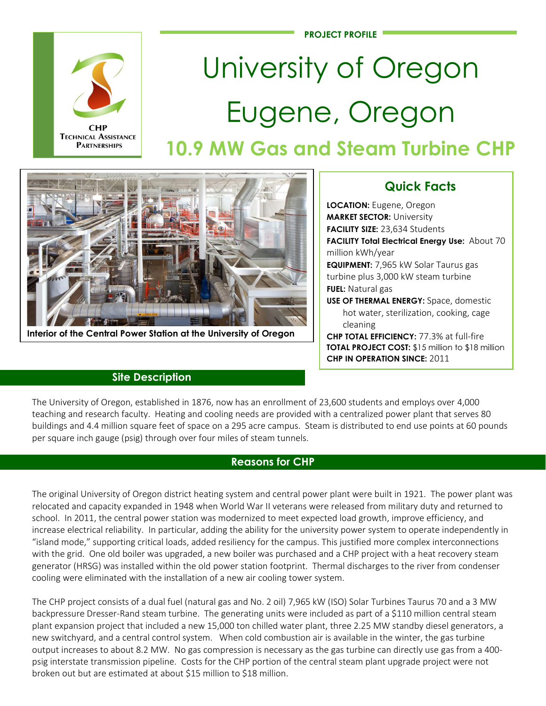

**TECHNICAL ASSISTANCE PARTNERSHIPS** 

# University of Oregon Eugene, Oregon **10.9 MW Gas and Steam Turbine CHP**



**Interior of the Central Power Station at the University of Oregon**

### **Site Description**

## **Quick Facts**

**LOCATION:** Eugene, Oregon **MARKET SECTOR:** University **FACILITY SIZE:** 23,634 Students **FACILITY Total Electrical Energy Use:** About 70 million kWh/year **EQUIPMENT:** 7,965 kW Solar Taurus gas turbine plus 3,000 kW steam turbine **FUEL:** Natural gas **USE OF THERMAL ENERGY:** Space, domestic hot water, sterilization, cooking, cage cleaning **CHP TOTAL EFFICIENCY:** 77.3% at full-fire **TOTAL PROJECT COST:** \$15 million to \$18 million

**CHP IN OPERATION SINCE:** 2011

The University of Oregon, established in 1876, now has an enrollment of 23,600 students and employs over 4,000 teaching and research faculty. Heating and cooling needs are provided with a centralized power plant that serves 80 buildings and 4.4 million square feet of space on a 295 acre campus. Steam is distributed to end use points at 60 pounds per square inch gauge (psig) through over four miles of steam tunnels.

#### **Reasons for CHP**

The original University of Oregon district heating system and central power plant were built in 1921. The power plant was relocated and capacity expanded in 1948 when World War II veterans were released from military duty and returned to school. In 2011, the central power station was modernized to meet expected load growth, improve efficiency, and increase electrical reliability. In particular, adding the ability for the university power system to operate independently in "island mode," supporting critical loads, added resiliency for the campus. This justified more complex interconnections with the grid. One old boiler was upgraded, a new boiler was purchased and a CHP project with a heat recovery steam generator (HRSG) was installed within the old power station footprint. Thermal discharges to the river from condenser cooling were eliminated with the installation of a new air cooling tower system.

The CHP project consists of a dual fuel (natural gas and No. 2 oil) 7,965 kW (ISO) Solar Turbines Taurus 70 and a 3 MW backpressure Dresser-Rand steam turbine. The generating units were included as part of a \$110 million central steam plant expansion project that included a new 15,000 ton chilled water plant, three 2.25 MW standby diesel generators, a new switchyard, and a central control system. When cold combustion air is available in the winter, the gas turbine output increases to about 8.2 MW. No gas compression is necessary as the gas turbine can directly use gas from a 400 psig interstate transmission pipeline. Costs for the CHP portion of the central steam plant upgrade project were not broken out but are estimated at about \$15 million to \$18 million.